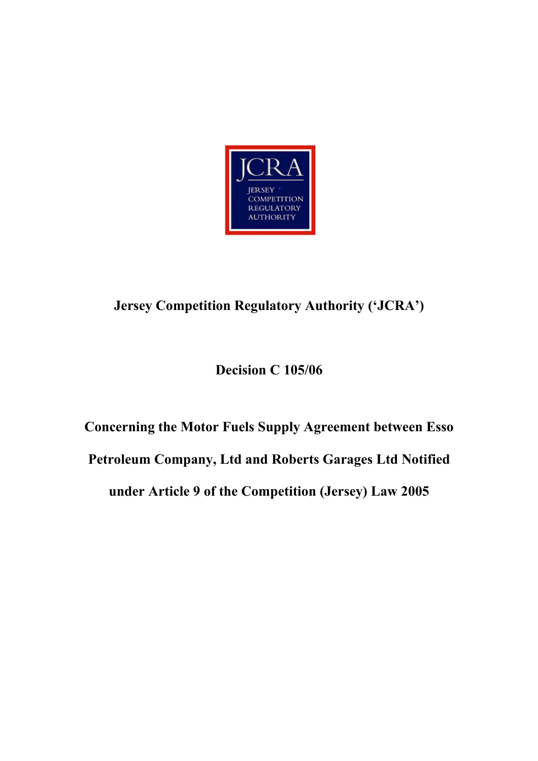

# **Jersey Competition Regulatory Authority ('JCRA')**

# **Decision C 105/06**

# **Concerning the Motor Fuels Supply Agreement between Esso Petroleum Company, Ltd and Roberts Garages Ltd Notified under Article 9 of the Competition (Jersey) Law 2005**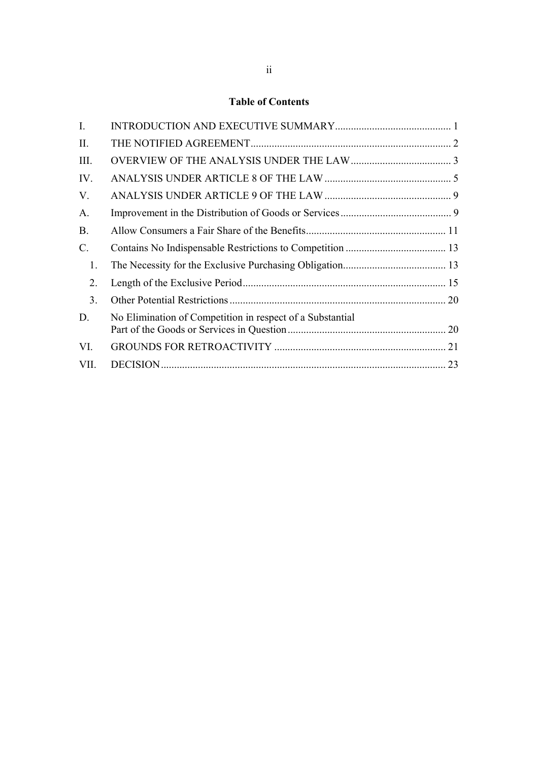# **Table of Contents**

| $\mathbf{I}$ . |                                                           |    |
|----------------|-----------------------------------------------------------|----|
| II.            |                                                           |    |
| III.           |                                                           |    |
| IV.            |                                                           |    |
| V.             |                                                           |    |
| A.             |                                                           |    |
| <b>B.</b>      |                                                           |    |
| C.             |                                                           |    |
| 1.             |                                                           |    |
| 2.             |                                                           |    |
| 3 <sub>1</sub> |                                                           |    |
| D.             | No Elimination of Competition in respect of a Substantial |    |
| VI.            |                                                           |    |
| VII.           |                                                           | 23 |
|                |                                                           |    |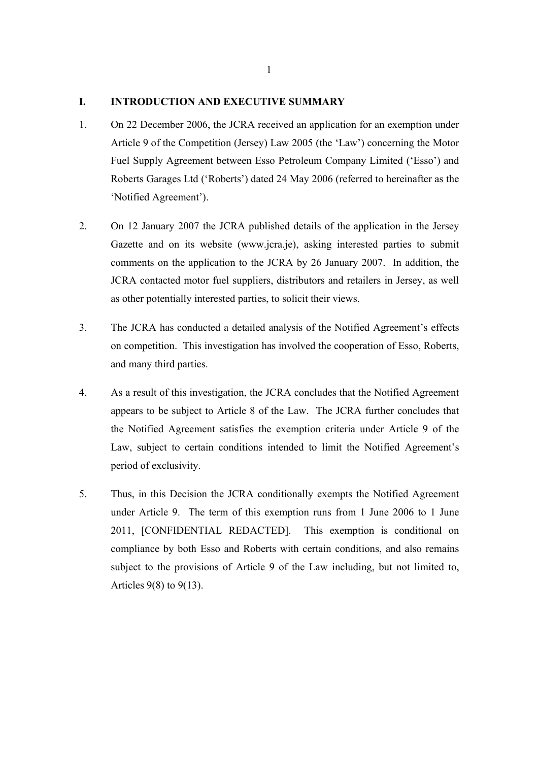#### **I. INTRODUCTION AND EXECUTIVE SUMMARY**

- 1. On 22 December 2006, the JCRA received an application for an exemption under Article 9 of the Competition (Jersey) Law 2005 (the 'Law') concerning the Motor Fuel Supply Agreement between Esso Petroleum Company Limited ('Esso') and Roberts Garages Ltd ('Roberts') dated 24 May 2006 (referred to hereinafter as the 'Notified Agreement').
- 2. On 12 January 2007 the JCRA published details of the application in the Jersey Gazette and on its website (www.jcra.je), asking interested parties to submit comments on the application to the JCRA by 26 January 2007. In addition, the JCRA contacted motor fuel suppliers, distributors and retailers in Jersey, as well as other potentially interested parties, to solicit their views.
- 3. The JCRA has conducted a detailed analysis of the Notified Agreement's effects on competition. This investigation has involved the cooperation of Esso, Roberts, and many third parties.
- 4. As a result of this investigation, the JCRA concludes that the Notified Agreement appears to be subject to Article 8 of the Law. The JCRA further concludes that the Notified Agreement satisfies the exemption criteria under Article 9 of the Law, subject to certain conditions intended to limit the Notified Agreement's period of exclusivity.
- 5. Thus, in this Decision the JCRA conditionally exempts the Notified Agreement under Article 9. The term of this exemption runs from 1 June 2006 to 1 June 2011, [CONFIDENTIAL REDACTED]. This exemption is conditional on compliance by both Esso and Roberts with certain conditions, and also remains subject to the provisions of Article 9 of the Law including, but not limited to, Articles 9(8) to 9(13).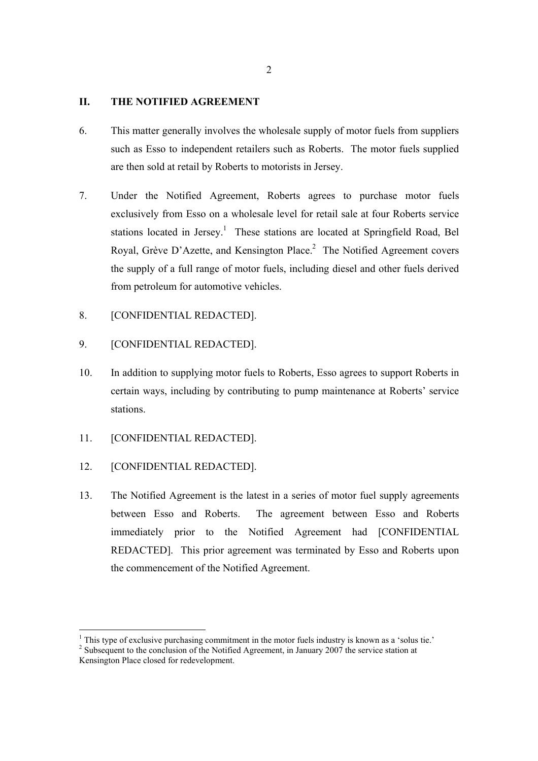### **II. THE NOTIFIED AGREEMENT**

- 6. This matter generally involves the wholesale supply of motor fuels from suppliers such as Esso to independent retailers such as Roberts. The motor fuels supplied are then sold at retail by Roberts to motorists in Jersey.
- 7. Under the Notified Agreement, Roberts agrees to purchase motor fuels exclusively from Esso on a wholesale level for retail sale at four Roberts service stations located in Jersey.<sup>1</sup> These stations are located at Springfield Road, Bel Royal, Grève D'Azette, and Kensington Place.<sup>2</sup> The Notified Agreement covers the supply of a full range of motor fuels, including diesel and other fuels derived from petroleum for automotive vehicles.
- 8. [CONFIDENTIAL REDACTED].
- 9. [CONFIDENTIAL REDACTED].
- 10. In addition to supplying motor fuels to Roberts, Esso agrees to support Roberts in certain ways, including by contributing to pump maintenance at Roberts' service stations.
- 11. [CONFIDENTIAL REDACTED].
- 12. [CONFIDENTIAL REDACTED].

13. The Notified Agreement is the latest in a series of motor fuel supply agreements between Esso and Roberts. The agreement between Esso and Roberts immediately prior to the Notified Agreement had [CONFIDENTIAL REDACTED]. This prior agreement was terminated by Esso and Roberts upon the commencement of the Notified Agreement.

 $<sup>1</sup>$  This type of exclusive purchasing commitment in the motor fuels industry is known as a 'solus tie.'</sup>

 $2^2$  Subsequent to the conclusion of the Notified Agreement, in January 2007 the service station at Kensington Place closed for redevelopment.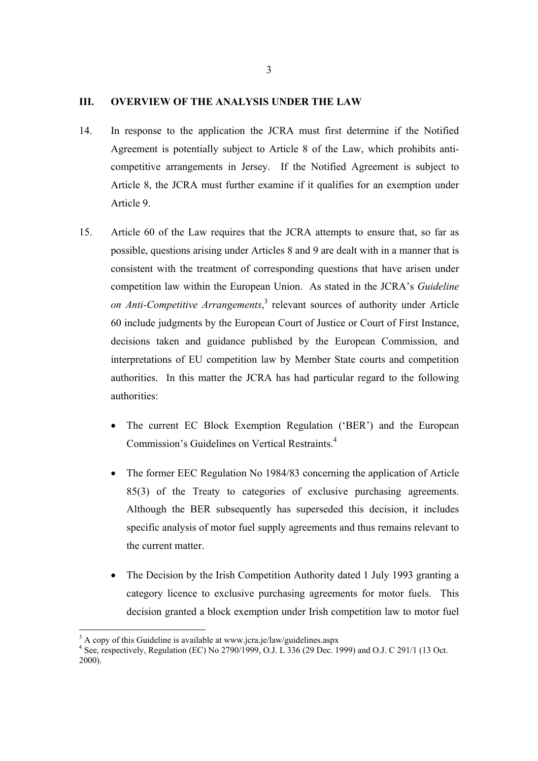#### **III. OVERVIEW OF THE ANALYSIS UNDER THE LAW**

- 14. In response to the application the JCRA must first determine if the Notified Agreement is potentially subject to Article 8 of the Law, which prohibits anticompetitive arrangements in Jersey. If the Notified Agreement is subject to Article 8, the JCRA must further examine if it qualifies for an exemption under Article 9.
- 15. Article 60 of the Law requires that the JCRA attempts to ensure that, so far as possible, questions arising under Articles 8 and 9 are dealt with in a manner that is consistent with the treatment of corresponding questions that have arisen under competition law within the European Union. As stated in the JCRA's *Guideline*  on Anti-Competitive Arrangements,<sup>3</sup> relevant sources of authority under Article 60 include judgments by the European Court of Justice or Court of First Instance, decisions taken and guidance published by the European Commission, and interpretations of EU competition law by Member State courts and competition authorities. In this matter the JCRA has had particular regard to the following authorities:
	- The current EC Block Exemption Regulation ('BER') and the European Commission's Guidelines on Vertical Restraints.4
	- The former EEC Regulation No 1984/83 concerning the application of Article 85(3) of the Treaty to categories of exclusive purchasing agreements. Although the BER subsequently has superseded this decision, it includes specific analysis of motor fuel supply agreements and thus remains relevant to the current matter.
	- The Decision by the Irish Competition Authority dated 1 July 1993 granting a category licence to exclusive purchasing agreements for motor fuels. This decision granted a block exemption under Irish competition law to motor fuel

 $3$  A copy of this Guideline is available at www.jcra.je/law/guidelines.aspx

<sup>4</sup> See, respectively, Regulation (EC) No 2790/1999, O.J. L 336 (29 Dec. 1999) and O.J. C 291/1 (13 Oct. 2000).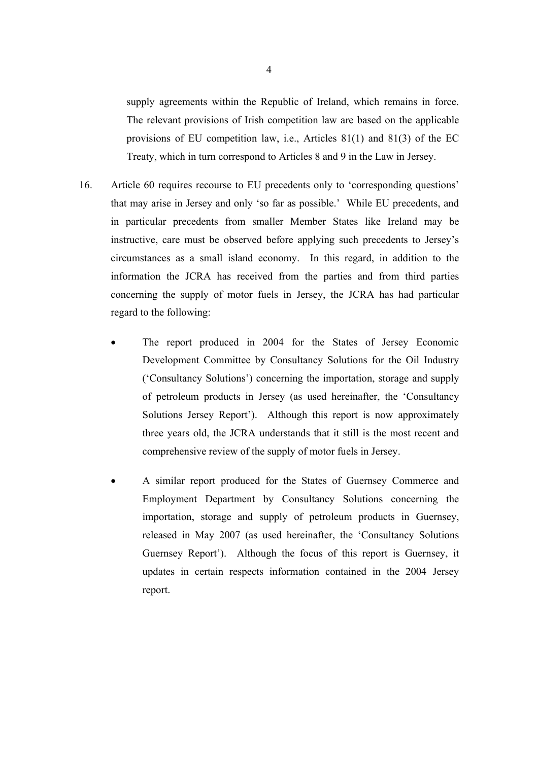supply agreements within the Republic of Ireland, which remains in force. The relevant provisions of Irish competition law are based on the applicable provisions of EU competition law, i.e., Articles 81(1) and 81(3) of the EC Treaty, which in turn correspond to Articles 8 and 9 in the Law in Jersey.

- 16. Article 60 requires recourse to EU precedents only to 'corresponding questions' that may arise in Jersey and only 'so far as possible.' While EU precedents, and in particular precedents from smaller Member States like Ireland may be instructive, care must be observed before applying such precedents to Jersey's circumstances as a small island economy. In this regard, in addition to the information the JCRA has received from the parties and from third parties concerning the supply of motor fuels in Jersey, the JCRA has had particular regard to the following:
	- The report produced in 2004 for the States of Jersey Economic Development Committee by Consultancy Solutions for the Oil Industry ('Consultancy Solutions') concerning the importation, storage and supply of petroleum products in Jersey (as used hereinafter, the 'Consultancy Solutions Jersey Report'). Although this report is now approximately three years old, the JCRA understands that it still is the most recent and comprehensive review of the supply of motor fuels in Jersey.
	- A similar report produced for the States of Guernsey Commerce and Employment Department by Consultancy Solutions concerning the importation, storage and supply of petroleum products in Guernsey, released in May 2007 (as used hereinafter, the 'Consultancy Solutions Guernsey Report'). Although the focus of this report is Guernsey, it updates in certain respects information contained in the 2004 Jersey report.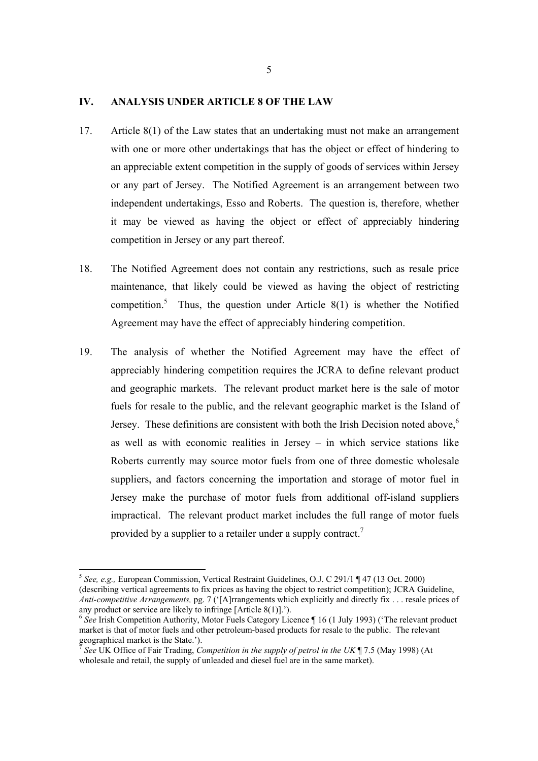#### **IV. ANALYSIS UNDER ARTICLE 8 OF THE LAW**

- 17. Article 8(1) of the Law states that an undertaking must not make an arrangement with one or more other undertakings that has the object or effect of hindering to an appreciable extent competition in the supply of goods of services within Jersey or any part of Jersey. The Notified Agreement is an arrangement between two independent undertakings, Esso and Roberts. The question is, therefore, whether it may be viewed as having the object or effect of appreciably hindering competition in Jersey or any part thereof.
- 18. The Notified Agreement does not contain any restrictions, such as resale price maintenance, that likely could be viewed as having the object of restricting competition.<sup>5</sup> Thus, the question under Article  $8(1)$  is whether the Notified Agreement may have the effect of appreciably hindering competition.
- 19. The analysis of whether the Notified Agreement may have the effect of appreciably hindering competition requires the JCRA to define relevant product and geographic markets. The relevant product market here is the sale of motor fuels for resale to the public, and the relevant geographic market is the Island of Jersey. These definitions are consistent with both the Irish Decision noted above, $6\overline{6}$ as well as with economic realities in Jersey – in which service stations like Roberts currently may source motor fuels from one of three domestic wholesale suppliers, and factors concerning the importation and storage of motor fuel in Jersey make the purchase of motor fuels from additional off-island suppliers impractical. The relevant product market includes the full range of motor fuels provided by a supplier to a retailer under a supply contract.<sup>7</sup>

<sup>5</sup> *See, e.g.,* European Commission, Vertical Restraint Guidelines, O.J. C 291/1 ¶ 47 (13 Oct. 2000) (describing vertical agreements to fix prices as having the object to restrict competition); JCRA Guideline, *Anti-competitive Arrangements,* pg. 7 ('[A]rrangements which explicitly and directly fix . . . resale prices of any product or service are likely to infringe [Article 8(1)].').

<sup>&</sup>lt;sup>6</sup> See Irish Competition Authority, Motor Fuels Category Licence ¶ 16 (1 July 1993) ('The relevant product market is that of motor fuels and other petroleum-based products for resale to the public. The relevant geographical market is the State.').

<sup>7</sup> *See* UK Office of Fair Trading, *Competition in the supply of petrol in the UK* ¶ 7.5 (May 1998) (At wholesale and retail, the supply of unleaded and diesel fuel are in the same market).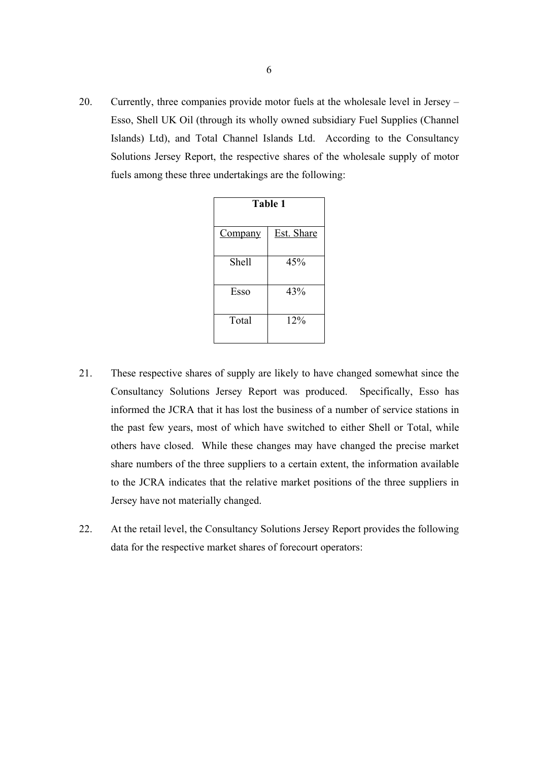20. Currently, three companies provide motor fuels at the wholesale level in Jersey – Esso, Shell UK Oil (through its wholly owned subsidiary Fuel Supplies (Channel Islands) Ltd), and Total Channel Islands Ltd. According to the Consultancy Solutions Jersey Report, the respective shares of the wholesale supply of motor fuels among these three undertakings are the following:

| Table 1        |                   |  |
|----------------|-------------------|--|
| <b>Company</b> | <b>Est.</b> Share |  |
| Shell          | 45%               |  |
| Esso           | 43%               |  |
| Total          | 12%               |  |

- 21. These respective shares of supply are likely to have changed somewhat since the Consultancy Solutions Jersey Report was produced. Specifically, Esso has informed the JCRA that it has lost the business of a number of service stations in the past few years, most of which have switched to either Shell or Total, while others have closed. While these changes may have changed the precise market share numbers of the three suppliers to a certain extent, the information available to the JCRA indicates that the relative market positions of the three suppliers in Jersey have not materially changed.
- 22. At the retail level, the Consultancy Solutions Jersey Report provides the following data for the respective market shares of forecourt operators: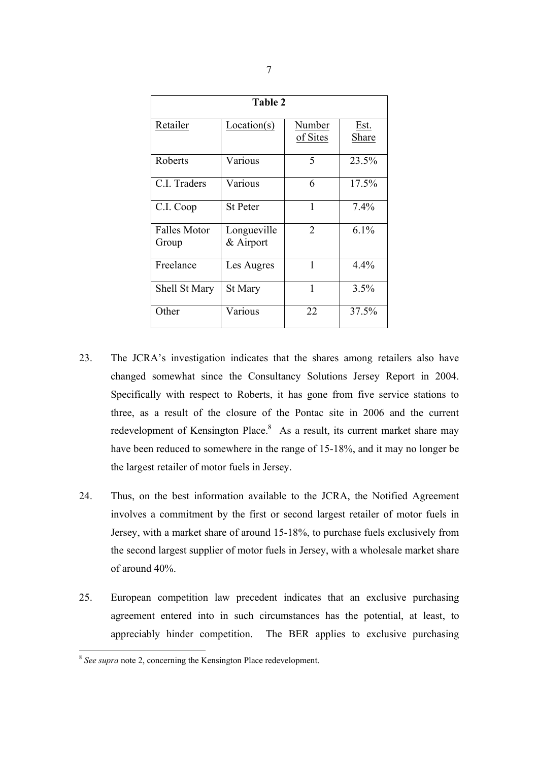| Table 2              |                 |                |              |  |  |
|----------------------|-----------------|----------------|--------------|--|--|
| Retailer             | Location(s)     | Number         | Est.         |  |  |
|                      |                 | of Sites       | <b>Share</b> |  |  |
| Roberts              | Various         | 5              | 23.5%        |  |  |
| C.I. Traders         | Various         | 6              | 17.5%        |  |  |
| C.I. Coop            | <b>St Peter</b> | $\mathbf{1}$   | 7.4%         |  |  |
| <b>Falles Motor</b>  | Longueville     | $\overline{2}$ | $6.1\%$      |  |  |
| Group                | $&$ Airport     |                |              |  |  |
| Freelance            | Les Augres      | 1              | 4.4%         |  |  |
| <b>Shell St Mary</b> | St Mary         | 1              | 3.5%         |  |  |
| Other                | Various         | 22             | 37.5%        |  |  |

- 23. The JCRA's investigation indicates that the shares among retailers also have changed somewhat since the Consultancy Solutions Jersey Report in 2004. Specifically with respect to Roberts, it has gone from five service stations to three, as a result of the closure of the Pontac site in 2006 and the current redevelopment of Kensington Place. $8$  As a result, its current market share may have been reduced to somewhere in the range of 15-18%, and it may no longer be the largest retailer of motor fuels in Jersey.
- 24. Thus, on the best information available to the JCRA, the Notified Agreement involves a commitment by the first or second largest retailer of motor fuels in Jersey, with a market share of around 15-18%, to purchase fuels exclusively from the second largest supplier of motor fuels in Jersey, with a wholesale market share of around 40%.
- 25. European competition law precedent indicates that an exclusive purchasing agreement entered into in such circumstances has the potential, at least, to appreciably hinder competition. The BER applies to exclusive purchasing

<sup>8</sup> *See supra* note 2, concerning the Kensington Place redevelopment.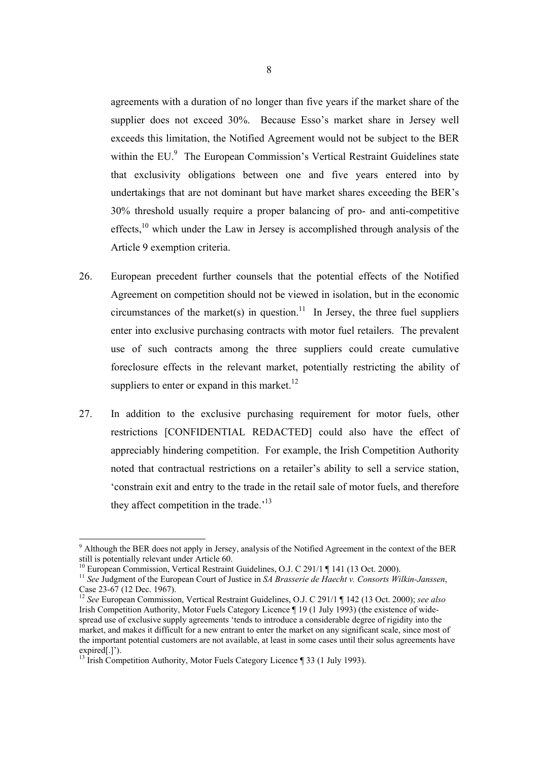agreements with a duration of no longer than five years if the market share of the supplier does not exceed 30%. Because Esso's market share in Jersey well exceeds this limitation, the Notified Agreement would not be subject to the BER within the EU.<sup>9</sup> The European Commission's Vertical Restraint Guidelines state that exclusivity obligations between one and five years entered into by undertakings that are not dominant but have market shares exceeding the BER's 30% threshold usually require a proper balancing of pro- and anti-competitive effects, $10$  which under the Law in Jersey is accomplished through analysis of the Article 9 exemption criteria.

- 26. European precedent further counsels that the potential effects of the Notified Agreement on competition should not be viewed in isolation, but in the economic circumstances of the market(s) in question.<sup>11</sup> In Jersey, the three fuel suppliers enter into exclusive purchasing contracts with motor fuel retailers. The prevalent use of such contracts among the three suppliers could create cumulative foreclosure effects in the relevant market, potentially restricting the ability of suppliers to enter or expand in this market. $^{12}$
- 27. In addition to the exclusive purchasing requirement for motor fuels, other restrictions [CONFIDENTIAL REDACTED] could also have the effect of appreciably hindering competition. For example, the Irish Competition Authority noted that contractual restrictions on a retailer's ability to sell a service station, 'constrain exit and entry to the trade in the retail sale of motor fuels, and therefore they affect competition in the trade.<sup>13</sup>

<sup>&</sup>lt;sup>9</sup> Although the BER does not apply in Jersey, analysis of the Notified Agreement in the context of the BER still is potentially relevant under Article 60.

<sup>&</sup>lt;sup>10</sup> European Commission, Vertical Restraint Guidelines, O.J. C 291/1 ¶ 141 (13 Oct. 2000).

<sup>11</sup> *See* Judgment of the European Court of Justice in *SA Brasserie de Haecht v. Consorts Wilkin-Janssen*, Case 23-67 (12 Dec. 1967).

<sup>12</sup> *See* European Commission, Vertical Restraint Guidelines, O.J. C 291/1 ¶ 142 (13 Oct. 2000); *see also*  Irish Competition Authority, Motor Fuels Category Licence ¶ 19 (1 July 1993) (the existence of widespread use of exclusive supply agreements 'tends to introduce a considerable degree of rigidity into the market, and makes it difficult for a new entrant to enter the market on any significant scale, since most of the important potential customers are not available, at least in some cases until their solus agreements have expired[.]').

 $^{13}$  Irish Competition Authority, Motor Fuels Category Licence  $\sqrt{ }$  33 (1 July 1993).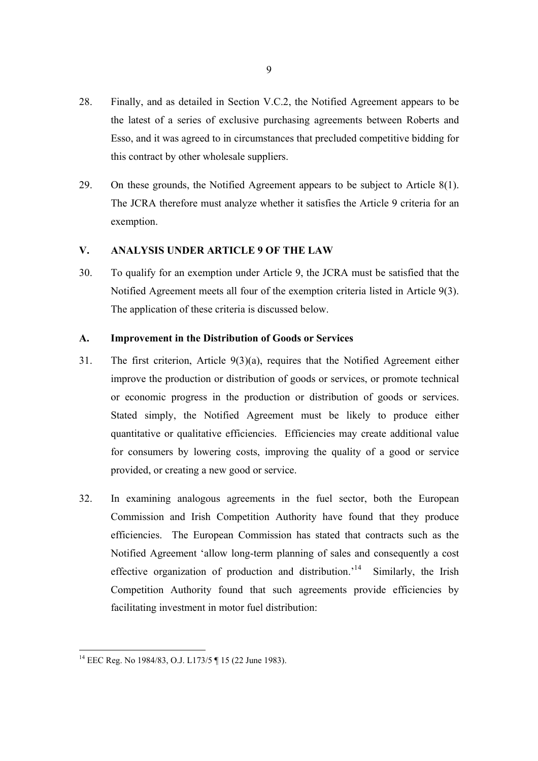- 28. Finally, and as detailed in Section V.C.2, the Notified Agreement appears to be the latest of a series of exclusive purchasing agreements between Roberts and Esso, and it was agreed to in circumstances that precluded competitive bidding for this contract by other wholesale suppliers.
- 29. On these grounds, the Notified Agreement appears to be subject to Article 8(1). The JCRA therefore must analyze whether it satisfies the Article 9 criteria for an exemption.

# **V. ANALYSIS UNDER ARTICLE 9 OF THE LAW**

30. To qualify for an exemption under Article 9, the JCRA must be satisfied that the Notified Agreement meets all four of the exemption criteria listed in Article 9(3). The application of these criteria is discussed below.

# **A. Improvement in the Distribution of Goods or Services**

- 31. The first criterion, Article 9(3)(a), requires that the Notified Agreement either improve the production or distribution of goods or services, or promote technical or economic progress in the production or distribution of goods or services. Stated simply, the Notified Agreement must be likely to produce either quantitative or qualitative efficiencies. Efficiencies may create additional value for consumers by lowering costs, improving the quality of a good or service provided, or creating a new good or service.
- 32. In examining analogous agreements in the fuel sector, both the European Commission and Irish Competition Authority have found that they produce efficiencies. The European Commission has stated that contracts such as the Notified Agreement 'allow long-term planning of sales and consequently a cost effective organization of production and distribution.'14 Similarly, the Irish Competition Authority found that such agreements provide efficiencies by facilitating investment in motor fuel distribution:

<sup>&</sup>lt;sup>14</sup> EEC Reg. No 1984/83, O.J. L173/5 | 15 (22 June 1983).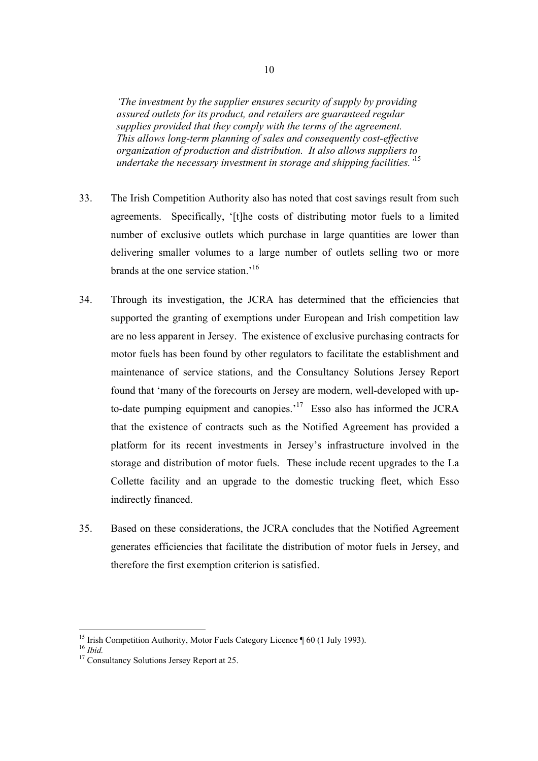*'The investment by the supplier ensures security of supply by providing assured outlets for its product, and retailers are guaranteed regular supplies provided that they comply with the terms of the agreement. This allows long-term planning of sales and consequently cost-effective organization of production and distribution. It also allows suppliers to undertake the necessary investment in storage and shipping facilities.'*<sup>15</sup>

- 33. The Irish Competition Authority also has noted that cost savings result from such agreements. Specifically, '[t]he costs of distributing motor fuels to a limited number of exclusive outlets which purchase in large quantities are lower than delivering smaller volumes to a large number of outlets selling two or more brands at the one service station.<sup>16</sup>
- 34. Through its investigation, the JCRA has determined that the efficiencies that supported the granting of exemptions under European and Irish competition law are no less apparent in Jersey. The existence of exclusive purchasing contracts for motor fuels has been found by other regulators to facilitate the establishment and maintenance of service stations, and the Consultancy Solutions Jersey Report found that 'many of the forecourts on Jersey are modern, well-developed with upto-date pumping equipment and canopies.<sup> $17$ </sup> Esso also has informed the JCRA that the existence of contracts such as the Notified Agreement has provided a platform for its recent investments in Jersey's infrastructure involved in the storage and distribution of motor fuels. These include recent upgrades to the La Collette facility and an upgrade to the domestic trucking fleet, which Esso indirectly financed.
- 35. Based on these considerations, the JCRA concludes that the Notified Agreement generates efficiencies that facilitate the distribution of motor fuels in Jersey, and therefore the first exemption criterion is satisfied.

<sup>&</sup>lt;sup>15</sup> Irish Competition Authority, Motor Fuels Category Licence  $\P$  60 (1 July 1993).

<sup>&</sup>lt;sup>16</sup> *Ibid.* <sup>17</sup> Consultancy Solutions Jersey Report at 25.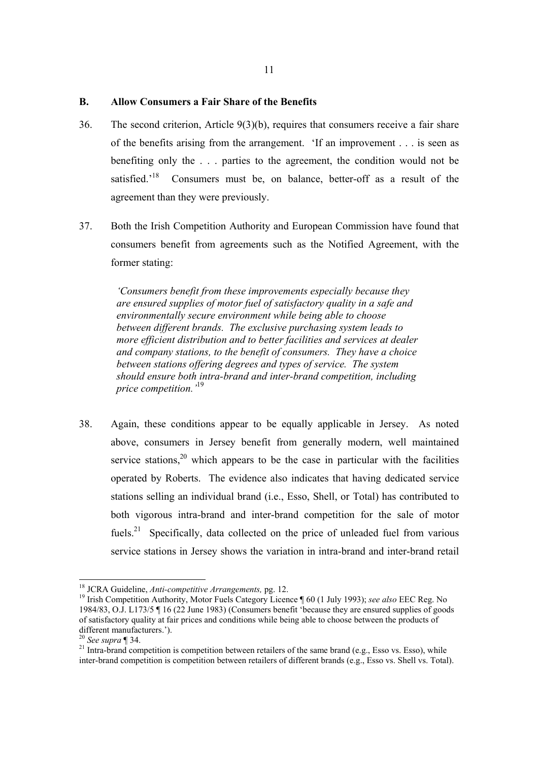#### **B. Allow Consumers a Fair Share of the Benefits**

- 36. The second criterion, Article 9(3)(b), requires that consumers receive a fair share of the benefits arising from the arrangement. 'If an improvement . . . is seen as benefiting only the . . . parties to the agreement, the condition would not be satisfied.<sup>18</sup> Consumers must be, on balance, better-off as a result of the agreement than they were previously.
- 37. Both the Irish Competition Authority and European Commission have found that consumers benefit from agreements such as the Notified Agreement, with the former stating:

*'Consumers benefit from these improvements especially because they are ensured supplies of motor fuel of satisfactory quality in a safe and environmentally secure environment while being able to choose between different brands. The exclusive purchasing system leads to more efficient distribution and to better facilities and services at dealer and company stations, to the benefit of consumers. They have a choice between stations offering degrees and types of service. The system should ensure both intra-brand and inter-brand competition, including price competition.'*<sup>19</sup>

38. Again, these conditions appear to be equally applicable in Jersey. As noted above, consumers in Jersey benefit from generally modern, well maintained service stations,  $2^{\circ}$  which appears to be the case in particular with the facilities operated by Roberts. The evidence also indicates that having dedicated service stations selling an individual brand (i.e., Esso, Shell, or Total) has contributed to both vigorous intra-brand and inter-brand competition for the sale of motor fuels.<sup>21</sup> Specifically, data collected on the price of unleaded fuel from various service stations in Jersey shows the variation in intra-brand and inter-brand retail

<sup>&</sup>lt;sup>18</sup> JCRA Guideline, Anti-competitive Arrangements, pg. 12.

<sup>&</sup>lt;sup>19</sup> Irish Competition Authority, Motor Fuels Category Licence ¶ 60 (1 July 1993); *see also* EEC Reg. No 1984/83, O.J. L173/5 ¶ 16 (22 June 1983) (Consumers benefit 'because they are ensured supplies of goods of satisfactory quality at fair prices and conditions while being able to choose between the products of different manufacturers.').<br> $^{20}$  See supra ¶ 34.

<sup>&</sup>lt;sup>21</sup> Intra-brand competition is competition between retailers of the same brand (e.g., Esso vs. Esso), while inter-brand competition is competition between retailers of different brands (e.g., Esso vs. Shell vs. Total).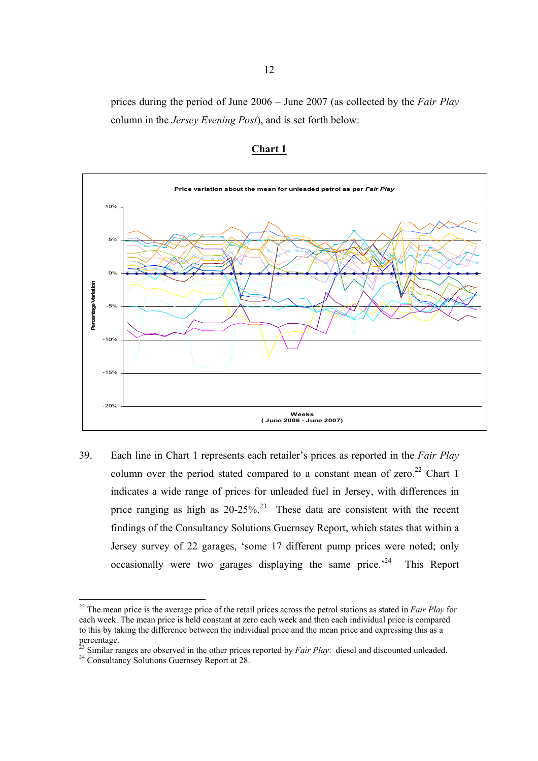prices during the period of June 2006 – June 2007 (as collected by the *Fair Play* column in the *Jersey Evening Post*), and is set forth below:



# **Chart 1**

39. Each line in Chart 1 represents each retailer's prices as reported in the *Fair Play*  column over the period stated compared to a constant mean of zero.<sup>22</sup> Chart 1 indicates a wide range of prices for unleaded fuel in Jersey, with differences in price ranging as high as  $20-25\%$ <sup>23</sup> These data are consistent with the recent findings of the Consultancy Solutions Guernsey Report, which states that within a Jersey survey of 22 garages, 'some 17 different pump prices were noted; only occasionally were two garages displaying the same price.<sup> $24$ </sup> This Report

 $\overline{a}$ 

<sup>22</sup> The mean price is the average price of the retail prices across the petrol stations as stated in *Fair Play* for each week. The mean price is held constant at zero each week and then each individual price is compared to this by taking the difference between the individual price and the mean price and expressing this as a percentage.

<sup>&</sup>lt;sup>23</sup> Similar ranges are observed in the other prices reported by *Fair Play*: diesel and discounted unleaded.  $^{24}$  Consultancy Solutions Guernsey Report at 28.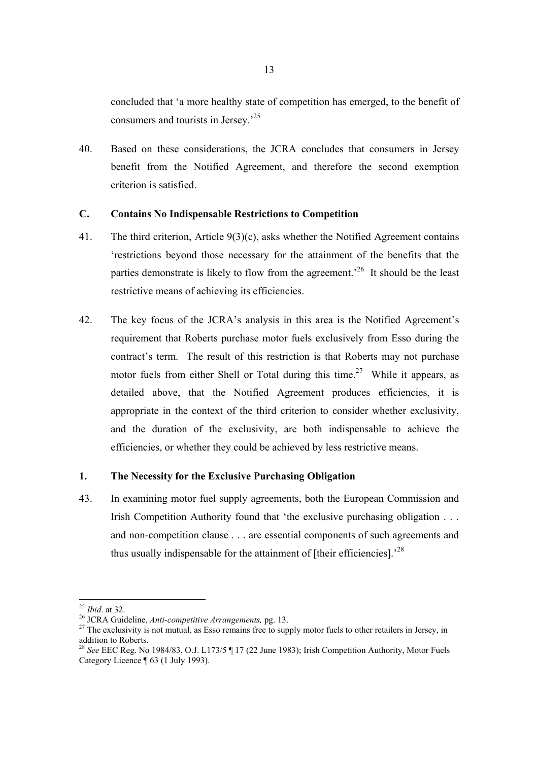concluded that 'a more healthy state of competition has emerged, to the benefit of consumers and tourists in Jersey.'25

40. Based on these considerations, the JCRA concludes that consumers in Jersey benefit from the Notified Agreement, and therefore the second exemption criterion is satisfied.

# **C. Contains No Indispensable Restrictions to Competition**

- 41. The third criterion, Article 9(3)(c), asks whether the Notified Agreement contains 'restrictions beyond those necessary for the attainment of the benefits that the parties demonstrate is likely to flow from the agreement.<sup>26</sup> It should be the least restrictive means of achieving its efficiencies.
- 42. The key focus of the JCRA's analysis in this area is the Notified Agreement's requirement that Roberts purchase motor fuels exclusively from Esso during the contract's term. The result of this restriction is that Roberts may not purchase motor fuels from either Shell or Total during this time.<sup>27</sup> While it appears, as detailed above, that the Notified Agreement produces efficiencies, it is appropriate in the context of the third criterion to consider whether exclusivity, and the duration of the exclusivity, are both indispensable to achieve the efficiencies, or whether they could be achieved by less restrictive means.

# **1. The Necessity for the Exclusive Purchasing Obligation**

43. In examining motor fuel supply agreements, both the European Commission and Irish Competition Authority found that 'the exclusive purchasing obligation . . . and non-competition clause . . . are essential components of such agreements and thus usually indispensable for the attainment of [their efficiencies].<sup>28</sup>

 $^{25}$  *Ibid.* at 32.

<sup>25</sup> *Ibid*. at 32. 26 JCRA Guideline, *Anti-competitive Arrangements,* pg. 13. 27 The exclusivity is not mutual, as Esso remains free to supply motor fuels to other retailers in Jersey, in addition to Roberts.

<sup>28</sup> *See* EEC Reg. No 1984/83, O.J. L173/5 ¶ 17 (22 June 1983); Irish Competition Authority, Motor Fuels Category Licence ¶ 63 (1 July 1993).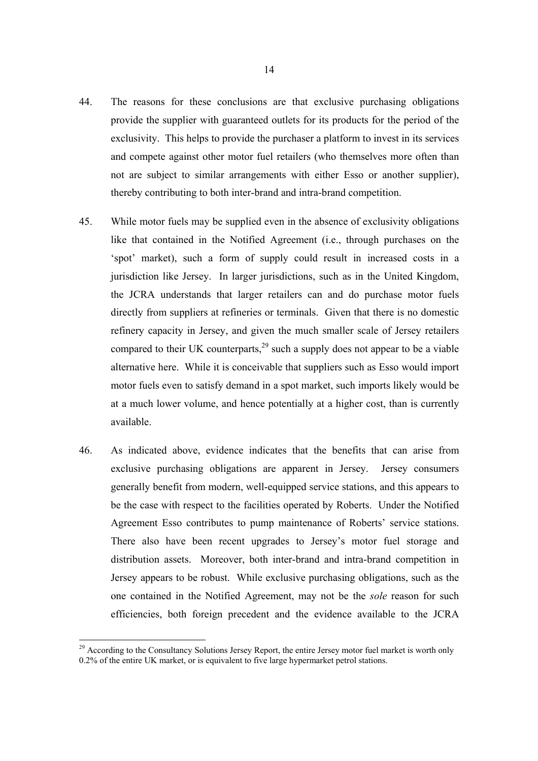- 44. The reasons for these conclusions are that exclusive purchasing obligations provide the supplier with guaranteed outlets for its products for the period of the exclusivity. This helps to provide the purchaser a platform to invest in its services and compete against other motor fuel retailers (who themselves more often than not are subject to similar arrangements with either Esso or another supplier), thereby contributing to both inter-brand and intra-brand competition.
- 45. While motor fuels may be supplied even in the absence of exclusivity obligations like that contained in the Notified Agreement (i.e., through purchases on the 'spot' market), such a form of supply could result in increased costs in a jurisdiction like Jersey. In larger jurisdictions, such as in the United Kingdom, the JCRA understands that larger retailers can and do purchase motor fuels directly from suppliers at refineries or terminals. Given that there is no domestic refinery capacity in Jersey, and given the much smaller scale of Jersey retailers compared to their UK counterparts,  $29$  such a supply does not appear to be a viable alternative here. While it is conceivable that suppliers such as Esso would import motor fuels even to satisfy demand in a spot market, such imports likely would be at a much lower volume, and hence potentially at a higher cost, than is currently available.
- 46. As indicated above, evidence indicates that the benefits that can arise from exclusive purchasing obligations are apparent in Jersey. Jersey consumers generally benefit from modern, well-equipped service stations, and this appears to be the case with respect to the facilities operated by Roberts. Under the Notified Agreement Esso contributes to pump maintenance of Roberts' service stations. There also have been recent upgrades to Jersey's motor fuel storage and distribution assets. Moreover, both inter-brand and intra-brand competition in Jersey appears to be robust. While exclusive purchasing obligations, such as the one contained in the Notified Agreement, may not be the *sole* reason for such efficiencies, both foreign precedent and the evidence available to the JCRA

<sup>&</sup>lt;sup>29</sup> According to the Consultancy Solutions Jersey Report, the entire Jersey motor fuel market is worth only 0.2% of the entire UK market, or is equivalent to five large hypermarket petrol stations.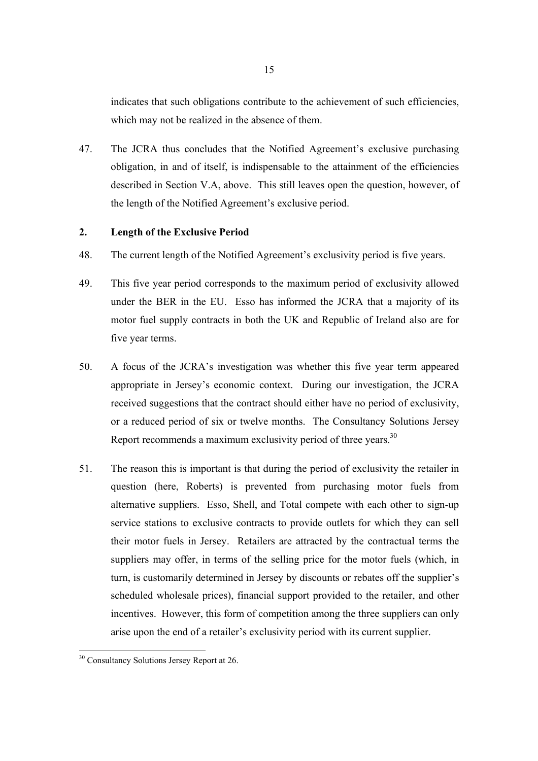indicates that such obligations contribute to the achievement of such efficiencies, which may not be realized in the absence of them.

47. The JCRA thus concludes that the Notified Agreement's exclusive purchasing obligation, in and of itself, is indispensable to the attainment of the efficiencies described in Section V.A, above. This still leaves open the question, however, of the length of the Notified Agreement's exclusive period.

# **2. Length of the Exclusive Period**

- 48. The current length of the Notified Agreement's exclusivity period is five years.
- 49. This five year period corresponds to the maximum period of exclusivity allowed under the BER in the EU. Esso has informed the JCRA that a majority of its motor fuel supply contracts in both the UK and Republic of Ireland also are for five year terms.
- 50. A focus of the JCRA's investigation was whether this five year term appeared appropriate in Jersey's economic context. During our investigation, the JCRA received suggestions that the contract should either have no period of exclusivity, or a reduced period of six or twelve months. The Consultancy Solutions Jersey Report recommends a maximum exclusivity period of three years.<sup>30</sup>
- 51. The reason this is important is that during the period of exclusivity the retailer in question (here, Roberts) is prevented from purchasing motor fuels from alternative suppliers. Esso, Shell, and Total compete with each other to sign-up service stations to exclusive contracts to provide outlets for which they can sell their motor fuels in Jersey. Retailers are attracted by the contractual terms the suppliers may offer, in terms of the selling price for the motor fuels (which, in turn, is customarily determined in Jersey by discounts or rebates off the supplier's scheduled wholesale prices), financial support provided to the retailer, and other incentives. However, this form of competition among the three suppliers can only arise upon the end of a retailer's exclusivity period with its current supplier.

<sup>&</sup>lt;sup>30</sup> Consultancy Solutions Jersey Report at 26.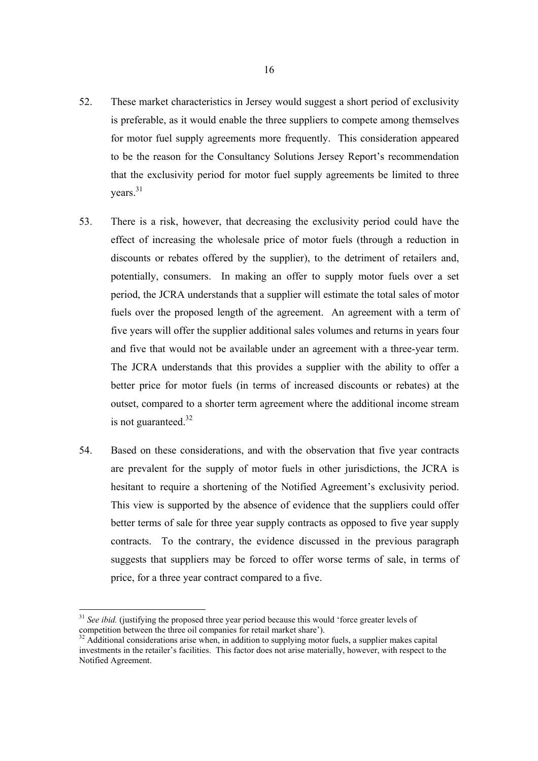- 52. These market characteristics in Jersey would suggest a short period of exclusivity is preferable, as it would enable the three suppliers to compete among themselves for motor fuel supply agreements more frequently. This consideration appeared to be the reason for the Consultancy Solutions Jersey Report's recommendation that the exclusivity period for motor fuel supply agreements be limited to three years.<sup>31</sup>
- 53. There is a risk, however, that decreasing the exclusivity period could have the effect of increasing the wholesale price of motor fuels (through a reduction in discounts or rebates offered by the supplier), to the detriment of retailers and, potentially, consumers. In making an offer to supply motor fuels over a set period, the JCRA understands that a supplier will estimate the total sales of motor fuels over the proposed length of the agreement. An agreement with a term of five years will offer the supplier additional sales volumes and returns in years four and five that would not be available under an agreement with a three-year term. The JCRA understands that this provides a supplier with the ability to offer a better price for motor fuels (in terms of increased discounts or rebates) at the outset, compared to a shorter term agreement where the additional income stream is not guaranteed.<sup>32</sup>
- 54. Based on these considerations, and with the observation that five year contracts are prevalent for the supply of motor fuels in other jurisdictions, the JCRA is hesitant to require a shortening of the Notified Agreement's exclusivity period. This view is supported by the absence of evidence that the suppliers could offer better terms of sale for three year supply contracts as opposed to five year supply contracts. To the contrary, the evidence discussed in the previous paragraph suggests that suppliers may be forced to offer worse terms of sale, in terms of price, for a three year contract compared to a five.

 $\overline{a}$ 

<sup>&</sup>lt;sup>31</sup> See ibid. (justifying the proposed three year period because this would 'force greater levels of competition between the three oil companies for retail market share').

 $32$  Additional considerations arise when, in addition to supplying motor fuels, a supplier makes capital investments in the retailer's facilities. This factor does not arise materially, however, with respect to the Notified Agreement.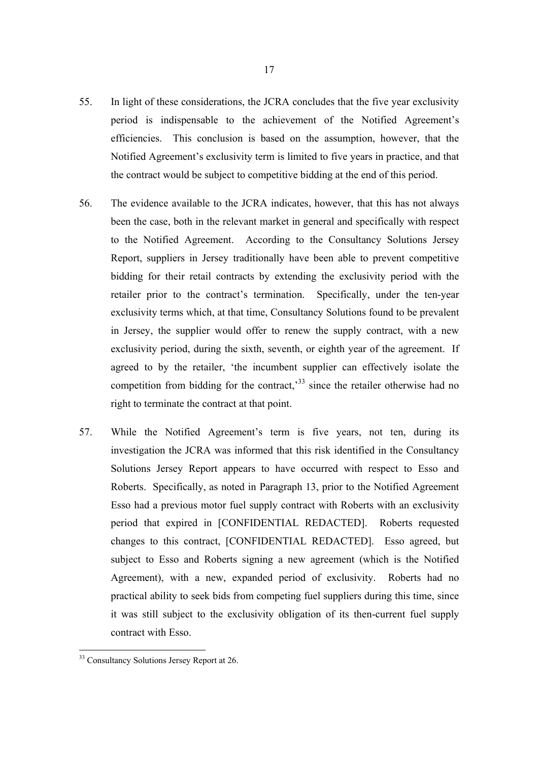- 55. In light of these considerations, the JCRA concludes that the five year exclusivity period is indispensable to the achievement of the Notified Agreement's efficiencies. This conclusion is based on the assumption, however, that the Notified Agreement's exclusivity term is limited to five years in practice, and that the contract would be subject to competitive bidding at the end of this period.
- 56. The evidence available to the JCRA indicates, however, that this has not always been the case, both in the relevant market in general and specifically with respect to the Notified Agreement. According to the Consultancy Solutions Jersey Report, suppliers in Jersey traditionally have been able to prevent competitive bidding for their retail contracts by extending the exclusivity period with the retailer prior to the contract's termination. Specifically, under the ten-year exclusivity terms which, at that time, Consultancy Solutions found to be prevalent in Jersey, the supplier would offer to renew the supply contract, with a new exclusivity period, during the sixth, seventh, or eighth year of the agreement. If agreed to by the retailer, 'the incumbent supplier can effectively isolate the competition from bidding for the contract,<sup>33</sup> since the retailer otherwise had no right to terminate the contract at that point.
- 57. While the Notified Agreement's term is five years, not ten, during its investigation the JCRA was informed that this risk identified in the Consultancy Solutions Jersey Report appears to have occurred with respect to Esso and Roberts. Specifically, as noted in Paragraph 13, prior to the Notified Agreement Esso had a previous motor fuel supply contract with Roberts with an exclusivity period that expired in [CONFIDENTIAL REDACTED]. Roberts requested changes to this contract, [CONFIDENTIAL REDACTED]. Esso agreed, but subject to Esso and Roberts signing a new agreement (which is the Notified Agreement), with a new, expanded period of exclusivity. Roberts had no practical ability to seek bids from competing fuel suppliers during this time, since it was still subject to the exclusivity obligation of its then-current fuel supply contract with Esso.

<sup>&</sup>lt;sup>33</sup> Consultancy Solutions Jersey Report at 26.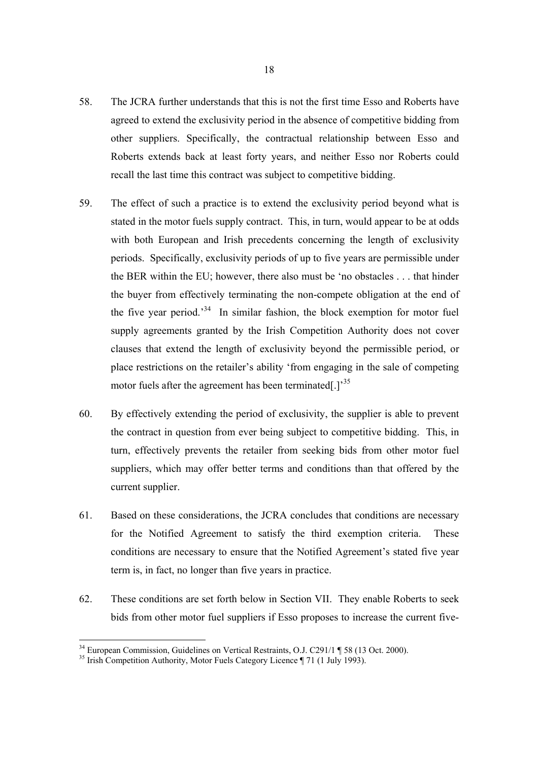- 58. The JCRA further understands that this is not the first time Esso and Roberts have agreed to extend the exclusivity period in the absence of competitive bidding from other suppliers. Specifically, the contractual relationship between Esso and Roberts extends back at least forty years, and neither Esso nor Roberts could recall the last time this contract was subject to competitive bidding.
- 59. The effect of such a practice is to extend the exclusivity period beyond what is stated in the motor fuels supply contract. This, in turn, would appear to be at odds with both European and Irish precedents concerning the length of exclusivity periods. Specifically, exclusivity periods of up to five years are permissible under the BER within the EU; however, there also must be 'no obstacles . . . that hinder the buyer from effectively terminating the non-compete obligation at the end of the five year period.<sup>34</sup> In similar fashion, the block exemption for motor fuel supply agreements granted by the Irish Competition Authority does not cover clauses that extend the length of exclusivity beyond the permissible period, or place restrictions on the retailer's ability 'from engaging in the sale of competing motor fuels after the agreement has been terminated[.]<sup>35</sup>
- 60. By effectively extending the period of exclusivity, the supplier is able to prevent the contract in question from ever being subject to competitive bidding. This, in turn, effectively prevents the retailer from seeking bids from other motor fuel suppliers, which may offer better terms and conditions than that offered by the current supplier.
- 61. Based on these considerations, the JCRA concludes that conditions are necessary for the Notified Agreement to satisfy the third exemption criteria. These conditions are necessary to ensure that the Notified Agreement's stated five year term is, in fact, no longer than five years in practice.
- 62. These conditions are set forth below in Section VII. They enable Roberts to seek bids from other motor fuel suppliers if Esso proposes to increase the current five-

<sup>&</sup>lt;sup>34</sup> European Commission, Guidelines on Vertical Restraints, O.J. C291/1 ¶ 58 (13 Oct. 2000).

 $35$  Irish Competition Authority, Motor Fuels Category Licence  $\P$  71 (1 July 1993).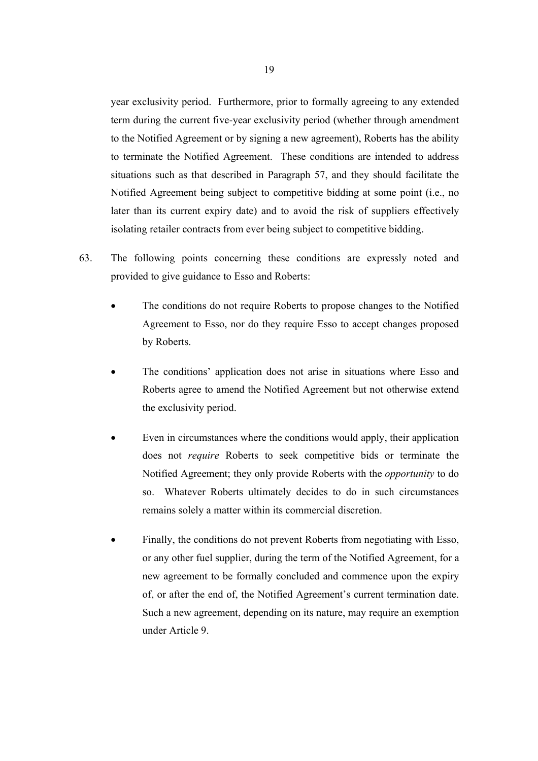year exclusivity period. Furthermore, prior to formally agreeing to any extended term during the current five-year exclusivity period (whether through amendment to the Notified Agreement or by signing a new agreement), Roberts has the ability to terminate the Notified Agreement. These conditions are intended to address situations such as that described in Paragraph 57, and they should facilitate the Notified Agreement being subject to competitive bidding at some point (i.e., no later than its current expiry date) and to avoid the risk of suppliers effectively isolating retailer contracts from ever being subject to competitive bidding.

- 63. The following points concerning these conditions are expressly noted and provided to give guidance to Esso and Roberts:
	- The conditions do not require Roberts to propose changes to the Notified Agreement to Esso, nor do they require Esso to accept changes proposed by Roberts.
	- The conditions' application does not arise in situations where Esso and Roberts agree to amend the Notified Agreement but not otherwise extend the exclusivity period.
	- Even in circumstances where the conditions would apply, their application does not *require* Roberts to seek competitive bids or terminate the Notified Agreement; they only provide Roberts with the *opportunity* to do so. Whatever Roberts ultimately decides to do in such circumstances remains solely a matter within its commercial discretion.
	- Finally, the conditions do not prevent Roberts from negotiating with Esso, or any other fuel supplier, during the term of the Notified Agreement, for a new agreement to be formally concluded and commence upon the expiry of, or after the end of, the Notified Agreement's current termination date. Such a new agreement, depending on its nature, may require an exemption under Article 9.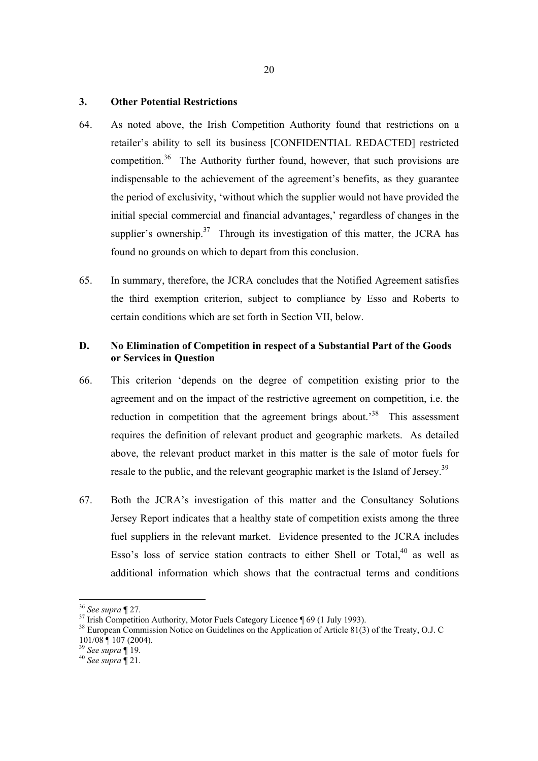# **3. Other Potential Restrictions**

- 64. As noted above, the Irish Competition Authority found that restrictions on a retailer's ability to sell its business [CONFIDENTIAL REDACTED] restricted competition.<sup>36</sup> The Authority further found, however, that such provisions are indispensable to the achievement of the agreement's benefits, as they guarantee the period of exclusivity, 'without which the supplier would not have provided the initial special commercial and financial advantages,' regardless of changes in the supplier's ownership.<sup>37</sup> Through its investigation of this matter, the JCRA has found no grounds on which to depart from this conclusion.
- 65. In summary, therefore, the JCRA concludes that the Notified Agreement satisfies the third exemption criterion, subject to compliance by Esso and Roberts to certain conditions which are set forth in Section VII, below.

# **D. No Elimination of Competition in respect of a Substantial Part of the Goods or Services in Question**

- 66. This criterion 'depends on the degree of competition existing prior to the agreement and on the impact of the restrictive agreement on competition, i.e. the reduction in competition that the agreement brings about.<sup>38</sup> This assessment requires the definition of relevant product and geographic markets. As detailed above, the relevant product market in this matter is the sale of motor fuels for resale to the public, and the relevant geographic market is the Island of Jersey.<sup>39</sup>
- 67. Both the JCRA's investigation of this matter and the Consultancy Solutions Jersey Report indicates that a healthy state of competition exists among the three fuel suppliers in the relevant market. Evidence presented to the JCRA includes Esso's loss of service station contracts to either Shell or Total, $40$  as well as additional information which shows that the contractual terms and conditions

 $\overline{a}$ 

<sup>&</sup>lt;sup>36</sup> See supra ¶ 27.<br><sup>37</sup> Irish Competition Authority, Motor Fuels Category Licence ¶ 69 (1 July 1993).

<sup>&</sup>lt;sup>38</sup> European Commission Notice on Guidelines on the Application of Article 81(3) of the Treaty, O.J. C  $101/08$  | 107 (2004).<br><sup>39</sup> See supra | 19.

<sup>&</sup>lt;sup>40</sup> See supra  $\sqrt[4]{21}$ .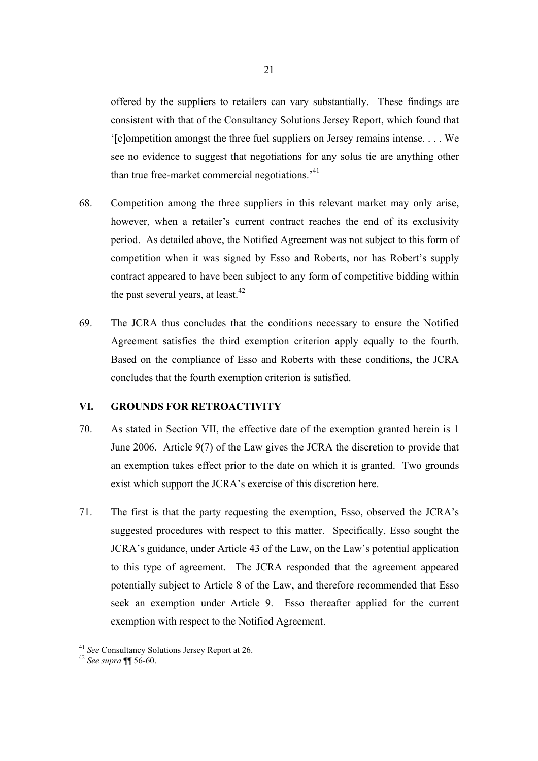offered by the suppliers to retailers can vary substantially. These findings are consistent with that of the Consultancy Solutions Jersey Report, which found that '[c]ompetition amongst the three fuel suppliers on Jersey remains intense. . . . We see no evidence to suggest that negotiations for any solus tie are anything other than true free-market commercial negotiations.<sup>41</sup>

- 68. Competition among the three suppliers in this relevant market may only arise, however, when a retailer's current contract reaches the end of its exclusivity period. As detailed above, the Notified Agreement was not subject to this form of competition when it was signed by Esso and Roberts, nor has Robert's supply contract appeared to have been subject to any form of competitive bidding within the past several years, at least.<sup>42</sup>
- 69. The JCRA thus concludes that the conditions necessary to ensure the Notified Agreement satisfies the third exemption criterion apply equally to the fourth. Based on the compliance of Esso and Roberts with these conditions, the JCRA concludes that the fourth exemption criterion is satisfied.

# **VI. GROUNDS FOR RETROACTIVITY**

- 70. As stated in Section VII, the effective date of the exemption granted herein is 1 June 2006. Article 9(7) of the Law gives the JCRA the discretion to provide that an exemption takes effect prior to the date on which it is granted. Two grounds exist which support the JCRA's exercise of this discretion here.
- 71. The first is that the party requesting the exemption, Esso, observed the JCRA's suggested procedures with respect to this matter. Specifically, Esso sought the JCRA's guidance, under Article 43 of the Law, on the Law's potential application to this type of agreement. The JCRA responded that the agreement appeared potentially subject to Article 8 of the Law, and therefore recommended that Esso seek an exemption under Article 9. Esso thereafter applied for the current exemption with respect to the Notified Agreement.

<sup>41</sup> *See* Consultancy Solutions Jersey Report at 26. 42 *See supra* ¶¶ 56-60.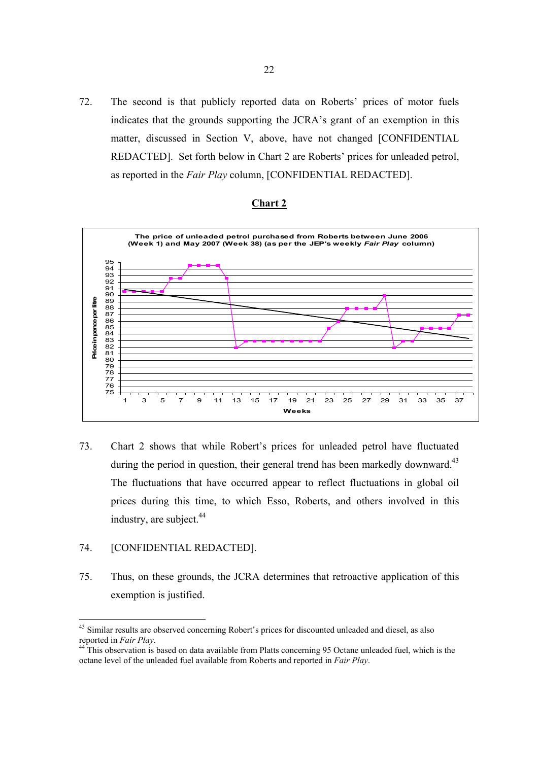72. The second is that publicly reported data on Roberts' prices of motor fuels indicates that the grounds supporting the JCRA's grant of an exemption in this matter, discussed in Section V, above, have not changed [CONFIDENTIAL REDACTED]. Set forth below in Chart 2 are Roberts' prices for unleaded petrol, as reported in the *Fair Play* column, [CONFIDENTIAL REDACTED].



### **Chart 2**

73. Chart 2 shows that while Robert's prices for unleaded petrol have fluctuated during the period in question, their general trend has been markedly downward.<sup>43</sup> The fluctuations that have occurred appear to reflect fluctuations in global oil prices during this time, to which Esso, Roberts, and others involved in this industry, are subject. $44$ 

# 74. [CONFIDENTIAL REDACTED].

75. Thus, on these grounds, the JCRA determines that retroactive application of this exemption is justified.

<sup>&</sup>lt;sup>43</sup> Similar results are observed concerning Robert's prices for discounted unleaded and diesel, as also reported in *Fair Play*.<br><sup>44</sup> This observation is based on data available from Platts concerning 95 Octane unleaded fuel, which is the

octane level of the unleaded fuel available from Roberts and reported in *Fair Play*.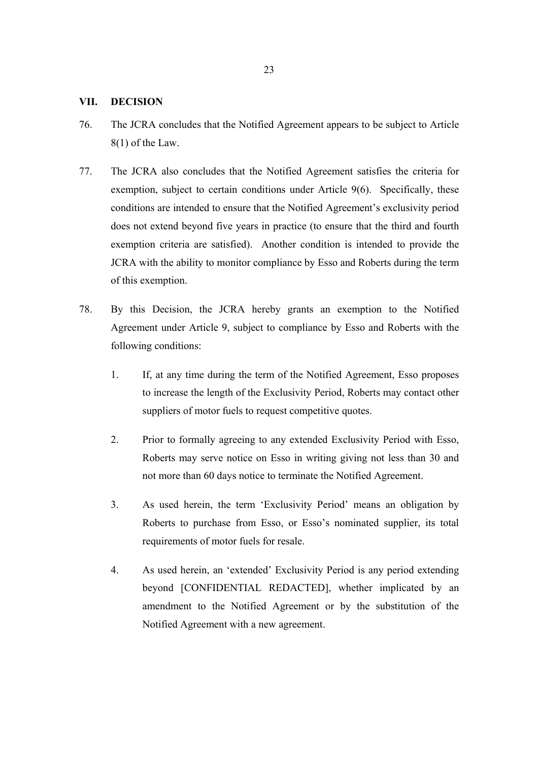# **VII. DECISION**

- 76. The JCRA concludes that the Notified Agreement appears to be subject to Article 8(1) of the Law.
- 77. The JCRA also concludes that the Notified Agreement satisfies the criteria for exemption, subject to certain conditions under Article 9(6). Specifically, these conditions are intended to ensure that the Notified Agreement's exclusivity period does not extend beyond five years in practice (to ensure that the third and fourth exemption criteria are satisfied). Another condition is intended to provide the JCRA with the ability to monitor compliance by Esso and Roberts during the term of this exemption.
- 78. By this Decision, the JCRA hereby grants an exemption to the Notified Agreement under Article 9, subject to compliance by Esso and Roberts with the following conditions:
	- 1. If, at any time during the term of the Notified Agreement, Esso proposes to increase the length of the Exclusivity Period, Roberts may contact other suppliers of motor fuels to request competitive quotes.
	- 2. Prior to formally agreeing to any extended Exclusivity Period with Esso, Roberts may serve notice on Esso in writing giving not less than 30 and not more than 60 days notice to terminate the Notified Agreement.
	- 3. As used herein, the term 'Exclusivity Period' means an obligation by Roberts to purchase from Esso, or Esso's nominated supplier, its total requirements of motor fuels for resale.
	- 4. As used herein, an 'extended' Exclusivity Period is any period extending beyond [CONFIDENTIAL REDACTED], whether implicated by an amendment to the Notified Agreement or by the substitution of the Notified Agreement with a new agreement.